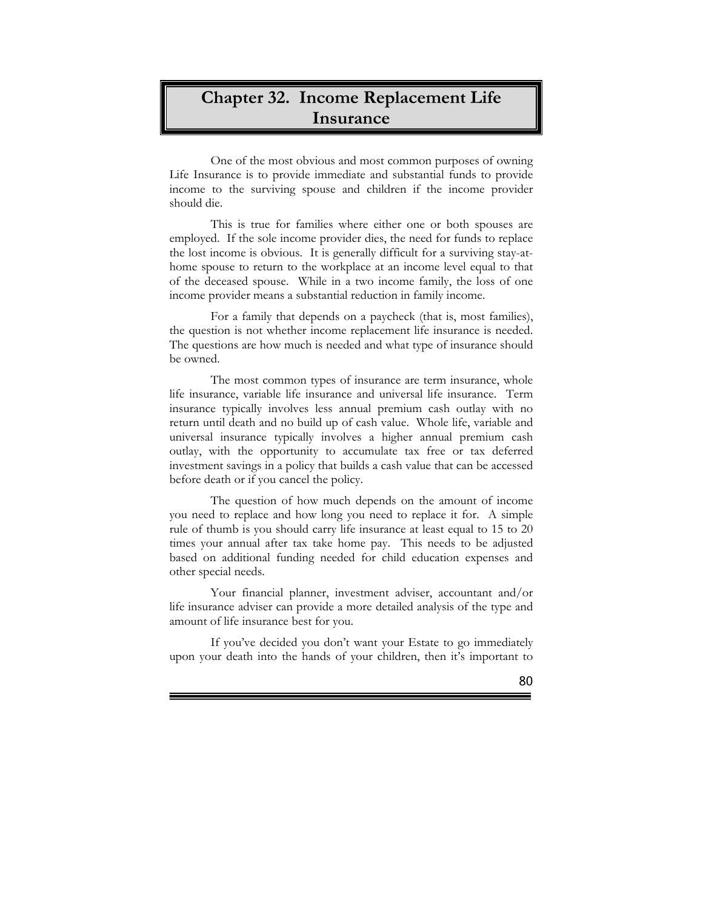## **Chapter 32. Income Replacement Life Insurance**

One of the most obvious and most common purposes of owning Life Insurance is to provide immediate and substantial funds to provide income to the surviving spouse and children if the income provider should die.

This is true for families where either one or both spouses are employed. If the sole income provider dies, the need for funds to replace the lost income is obvious. It is generally difficult for a surviving stay-athome spouse to return to the workplace at an income level equal to that of the deceased spouse. While in a two income family, the loss of one income provider means a substantial reduction in family income.

For a family that depends on a paycheck (that is, most families), the question is not whether income replacement life insurance is needed. The questions are how much is needed and what type of insurance should be owned.

The most common types of insurance are term insurance, whole life insurance, variable life insurance and universal life insurance. Term insurance typically involves less annual premium cash outlay with no return until death and no build up of cash value. Whole life, variable and universal insurance typically involves a higher annual premium cash outlay, with the opportunity to accumulate tax free or tax deferred investment savings in a policy that builds a cash value that can be accessed before death or if you cancel the policy.

The question of how much depends on the amount of income you need to replace and how long you need to replace it for. A simple rule of thumb is you should carry life insurance at least equal to 15 to 20 times your annual after tax take home pay. This needs to be adjusted based on additional funding needed for child education expenses and other special needs.

Your financial planner, investment adviser, accountant and/or life insurance adviser can provide a more detailed analysis of the type and amount of life insurance best for you.

If you've decided you don't want your Estate to go immediately upon your death into the hands of your children, then it's important to

Ē

80